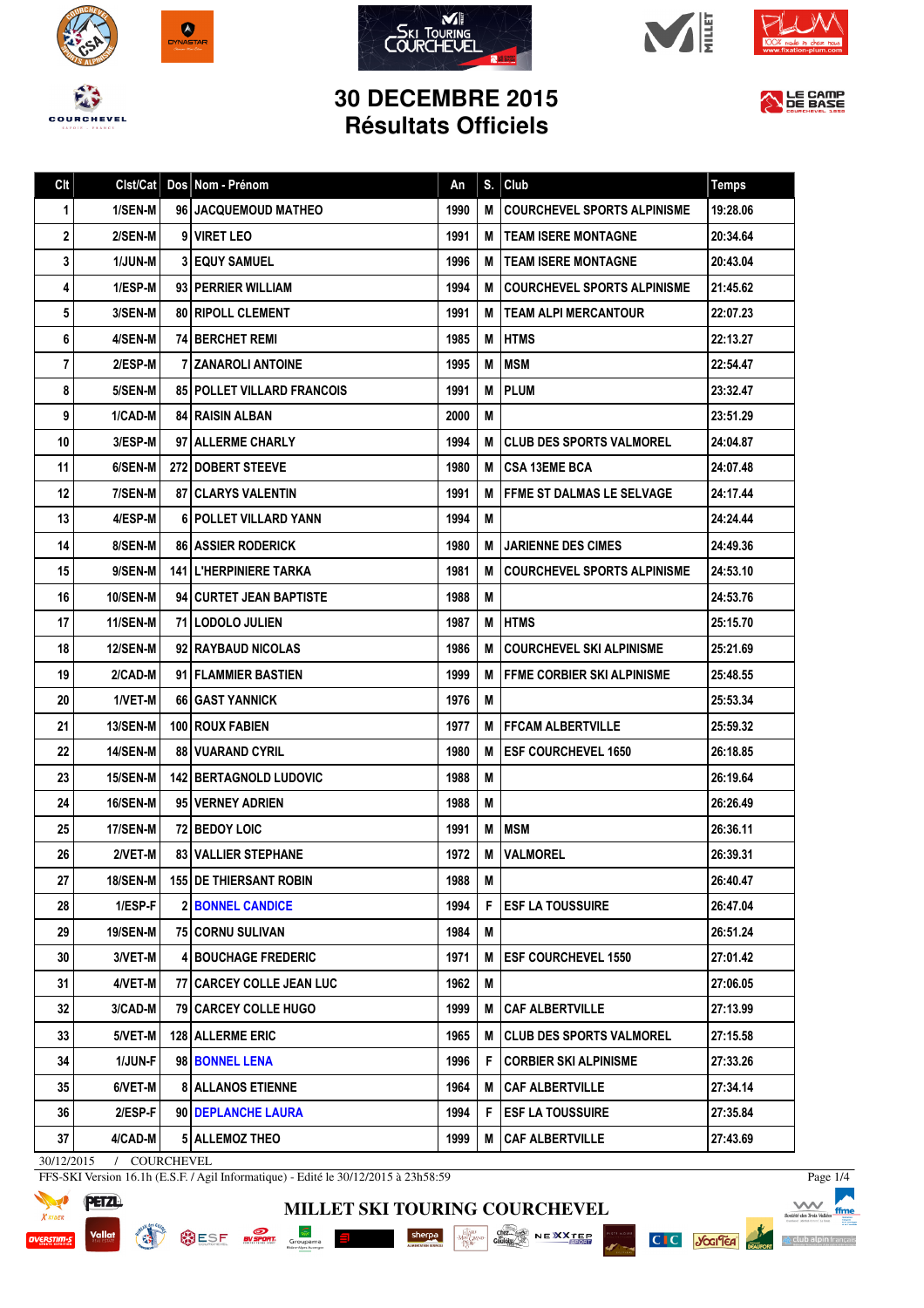









LE CAMP

## **30 DECEMBRE 2015 Résultats Officiels**

| Clt | Clst/Cat        | Dos Nom - Prénom                  | An   | S. | Club                               | <b>Temps</b> |
|-----|-----------------|-----------------------------------|------|----|------------------------------------|--------------|
| 1.  | 1/SEN-M         | 96 JACQUEMOUD MATHEO              | 1990 | M  | <b>COURCHEVEL SPORTS ALPINISME</b> | 19:28.06     |
| 2   | 2/SEN-M         | 9 VIRET LEO                       | 1991 | м  | TEAM ISERE MONTAGNE                | 20:34.64     |
| 3   | 1/JUN-M         | <b>31 EQUY SAMUEL</b>             | 1996 | M  | <b>ITEAM ISERE MONTAGNE</b>        | 20:43.04     |
| 4   | 1/ESP-M         | 93 PERRIER WILLIAM                | 1994 | М  | <b>COURCHEVEL SPORTS ALPINISME</b> | 21:45.62     |
| 5   | 3/SEN-M         | <b>80   RIPOLL CLEMENT</b>        | 1991 | М  | TEAM ALPI MERCANTOUR               | 22:07.23     |
| 6   | 4/SEN-M         | <b>74 BERCHET REMI</b>            | 1985 | M  | <b>HTMS</b>                        | 22:13.27     |
| 7   | 2/ESP-M         | 7 ZANAROLI ANTOINE                | 1995 | M  | <b>MSM</b>                         | 22:54.47     |
| 8   | 5/SEN-M         | <b>85 POLLET VILLARD FRANCOIS</b> | 1991 | M  | <b>PLUM</b>                        | 23:32.47     |
| 9   | 1/CAD-M         | <b>84 RAISIN ALBAN</b>            | 2000 | M  |                                    | 23:51.29     |
| 10  | 3/ESP-M         | 97 ALLERME CHARLY                 | 1994 | М  | CLUB DES SPORTS VALMOREL           | 24:04.87     |
| 11  | 6/SEN-M         | <b>272 DOBERT STEEVE</b>          | 1980 | M  | I CSA 13EME BCA                    | 24:07.48     |
| 12  | 7/SEN-M         | <b>87   CLARYS VALENTIN</b>       | 1991 | М  | FFME ST DALMAS LE SELVAGE          | 24:17.44     |
| 13  | 4/ESP-M         | 6   POLLET VILLARD YANN           | 1994 | M  |                                    | 24:24.44     |
| 14  | 8/SEN-M         | <b>86   ASSIER RODERICK</b>       | 1980 | M  | <b>JARIENNE DES CIMES</b>          | 24:49.36     |
| 15  | 9/SEN-M         | <b>141 L'HERPINIERE TARKA</b>     | 1981 | M  | <b>COURCHEVEL SPORTS ALPINISME</b> | 24:53.10     |
| 16  | <b>10/SEN-M</b> | 941 CURTET JEAN BAPTISTE          | 1988 | M  |                                    | 24:53.76     |
| 17  | <b>11/SEN-M</b> | 71 LODOLO JULIEN                  | 1987 | M  | <b>IHTMS</b>                       | 25:15.70     |
| 18  | <b>12/SEN-M</b> | 92 RAYBAUD NICOLAS                | 1986 | M  | <b>COURCHEVEL SKI ALPINISME</b>    | 25:21.69     |
| 19  | 2/CAD-M         | 91 FLAMMIER BASTIEN               | 1999 | M  | FFME CORBIER SKI ALPINISME         | 25:48.55     |
| 20  | 1/VET-M         | 66 GAST YANNICK                   | 1976 | M  |                                    | 25:53.34     |
| 21  | <b>13/SEN-M</b> | <b>100 ROUX FABIEN</b>            | 1977 | M  | I FFCAM ALBERTVILLE                | 25:59.32     |
| 22  | <b>14/SEN-M</b> | <b>88 VUARAND CYRIL</b>           | 1980 | М  | <b>ESF COURCHEVEL 1650</b>         | 26:18.85     |
| 23  | 15/SEN-M        | <b>142 BERTAGNOLD LUDOVIC</b>     | 1988 | M  |                                    | 26:19.64     |
| 24  | <b>16/SEN-M</b> | 95 VERNEY ADRIEN                  | 1988 | M  |                                    | 26:26.49     |
| 25  | <b>17/SEN-M</b> | <b>72 BEDOY LOIC</b>              | 1991 | M  | <b>IMSM</b>                        | 26:36.11     |
| 26  | 2/VET-M         | <b>83 VALLIER STEPHANE</b>        | 1972 | M  | <b>VALMOREL</b>                    | 26:39.31     |
| 27  | <b>18/SEN-M</b> | <b>155   DE THIERSANT ROBIN</b>   | 1988 | M  |                                    | 26:40.47     |
| 28  | 1/ESP-F         | <b>2 BONNEL CANDICE</b>           | 1994 | F  | <b>ESF LA TOUSSUIRE</b>            | 26:47.04     |
| 29  | <b>19/SEN-M</b> | <b>75 CORNU SULIVAN</b>           | 1984 | M  |                                    | 26:51.24     |
| 30  | 3/VET-M         | <b>4 BOUCHAGE FREDERIC</b>        | 1971 | M  | <b>ESF COURCHEVEL 1550</b>         | 27:01.42     |
| 31  | 4/VET-M         | 77 CARCEY COLLE JEAN LUC          | 1962 | M  |                                    | 27:06.05     |
| 32  | 3/CAD-M         | <b>79 CARCEY COLLE HUGO</b>       | 1999 | M  | <b>CAF ALBERTVILLE</b>             | 27:13.99     |
| 33  | 5/VET-M         | 128 ALLERME ERIC                  | 1965 | M  | <b>CLUB DES SPORTS VALMOREL</b>    | 27:15.58     |
| 34  | 1/JUN-F         | 98 BONNEL LENA                    | 1996 | F  | <b>CORBIER SKI ALPINISME</b>       | 27:33.26     |
| 35  | 6/VET-M         | <b>8 ALLANOS ETIENNE</b>          | 1964 | M  | <b>CAF ALBERTVILLE</b>             | 27:34.14     |
| 36  | 2/ESP-F         | 90 DEPLANCHE LAURA                | 1994 | F  | <b>ESF LA TOUSSUIRE</b>            | 27:35.84     |
| 37  | 4/CAD-M         | <b>5 ALLEMOZ THEO</b>             | 1999 | M  | <b>CAF ALBERTVILLE</b>             | 27:43.69     |

**MILLET SKI TOURING COURCHEVEL**

SESE NEWS GOURSE SHOP SHOP COMPANY NEWS NEWS

30/12/2015 / COURCHEVEL

FFS-SKI Version 16.1h (E.S.F. / Agil Informatique) - Edité le 30/12/2015 à 23h58:59



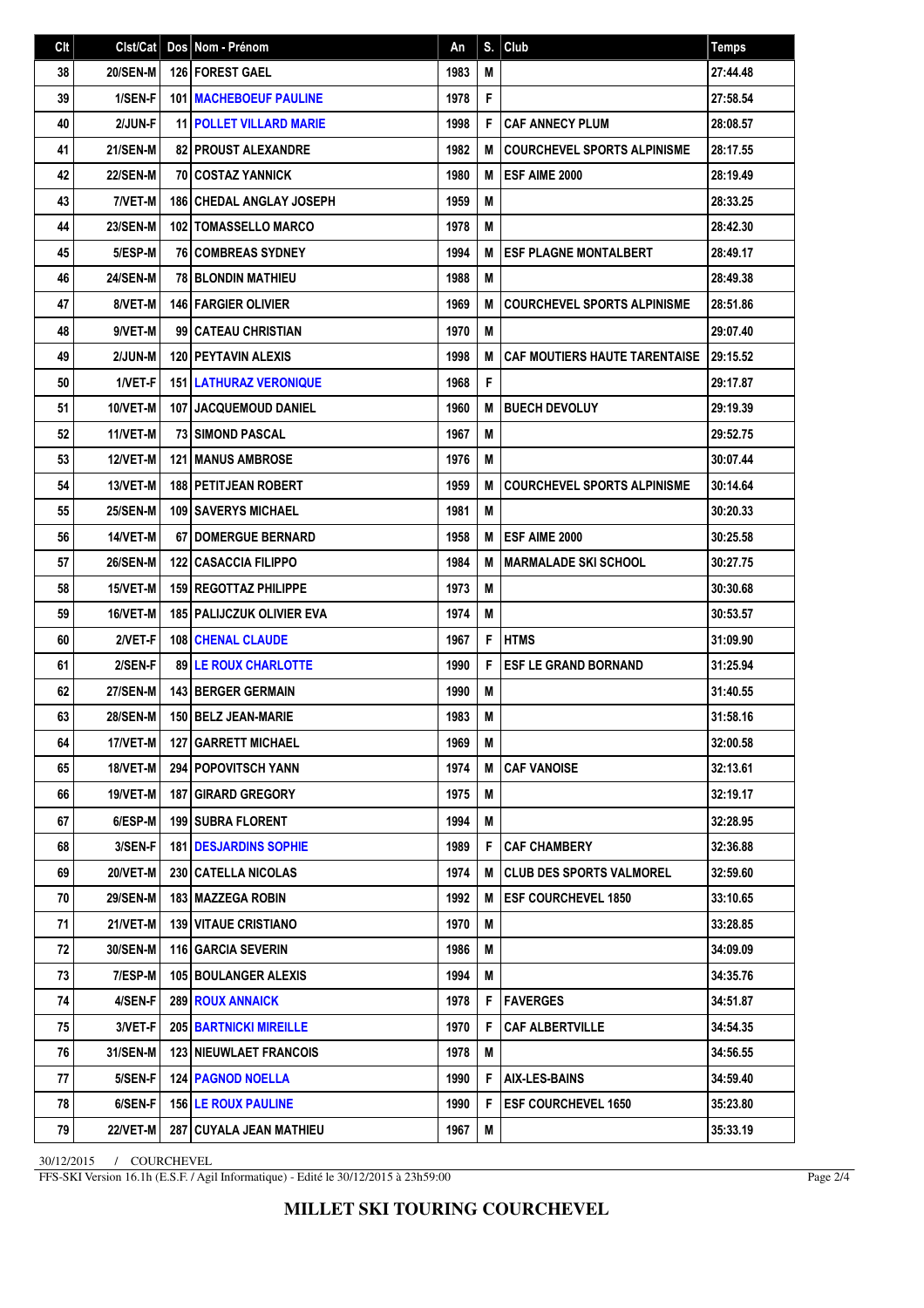| C <sub>it</sub> | Clst/Cat        | Dos Nom - Prénom                   | An   |    | $S.$ Club                            | <b>Temps</b> |
|-----------------|-----------------|------------------------------------|------|----|--------------------------------------|--------------|
| 38              | <b>20/SEN-M</b> | 126 FOREST GAEL                    | 1983 | M  |                                      | 27:44.48     |
| 39              | 1/SEN-F         | 101 MACHEBOEUF PAULINE             | 1978 | F  |                                      | 27:58.54     |
| 40              | 2/JUN-F         | <b>11 POLLET VILLARD MARIE</b>     | 1998 | F  | <b>CAF ANNECY PLUM</b>               | 28:08.57     |
| 41              | <b>21/SEN-M</b> | <b>82 PROUST ALEXANDRE</b>         | 1982 | М  | <b>COURCHEVEL SPORTS ALPINISME</b>   | 28:17.55     |
| 42              | <b>22/SEN-M</b> | <b>70   COSTAZ YANNICK</b>         | 1980 | M  | ESF AIME 2000                        | 28:19.49     |
| 43              | 7/VET-M         | <b>186 CHEDAL ANGLAY JOSEPH</b>    | 1959 | M  |                                      | 28:33.25     |
| 44              | <b>23/SEN-M</b> | <b>102   TOMASSELLO MARCO</b>      | 1978 | M  |                                      | 28:42.30     |
| 45              | 5/ESP-M         | <b>76 COMBREAS SYDNEY</b>          | 1994 | M  | <b>ESF PLAGNE MONTALBERT</b>         | 28:49.17     |
| 46              | <b>24/SEN-M</b> | <b>78 BLONDIN MATHIEU</b>          | 1988 | M  |                                      | 28:49.38     |
| 47              | 8/VET-M         | <b>146   FARGIER OLIVIER</b>       | 1969 | M  | <b>COURCHEVEL SPORTS ALPINISME</b>   | 28:51.86     |
| 48              | 9/VET-M         | 99 CATEAU CHRISTIAN                | 1970 | M  |                                      | 29:07.40     |
| 49              | 2/JUN-M         | 120 PEYTAVIN ALEXIS                | 1998 | M  | <b>CAF MOUTIERS HAUTE TARENTAISE</b> | 29:15.52     |
| 50              | 1/VET-F         | <b>151 LATHURAZ VERONIQUE</b>      | 1968 | F  |                                      | 29:17.87     |
| 51              | 10/VET-M        | 107 JACQUEMOUD DANIEL              | 1960 | M  | <b>BUECH DEVOLUY</b>                 | 29:19.39     |
| 52              | 11/VET-M        | <b>73 I SIMOND PASCAL</b>          | 1967 | M  |                                      | 29:52.75     |
| 53              | 12/VET-M        | <b>121 I MANUS AMBROSE</b>         | 1976 | M  |                                      | 30:07.44     |
| 54              | 13/VET-M        | <b>188   PETITJEAN ROBERT</b>      | 1959 | M  | <b>COURCHEVEL SPORTS ALPINISME</b>   | 30:14.64     |
| 55              | <b>25/SEN-M</b> | <b>109 SAVERYS MICHAEL</b>         | 1981 | M  |                                      | 30:20.33     |
| 56              | 14/VET-M        | <b>67 I DOMERGUE BERNARD</b>       | 1958 | M  | <b>ESF AIME 2000</b>                 | 30:25.58     |
| 57              | <b>26/SEN-M</b> | <b>122 CASACCIA FILIPPO</b>        | 1984 | M  | <b>MARMALADE SKI SCHOOL</b>          | 30:27.75     |
| 58              | 15/VET-M        | <b>159 REGOTTAZ PHILIPPE</b>       | 1973 | M  |                                      | 30:30.68     |
| 59              | 16/VET-M        | <b>185   PALIJCZUK OLIVIER EVA</b> | 1974 | M  |                                      | 30:53.57     |
| 60              | 2/VET-F         | <b>108 CHENAL CLAUDE</b>           | 1967 | F  | <b>HTMS</b>                          | 31:09.90     |
| 61              | 2/SEN-F         | <b>89 LE ROUX CHARLOTTE</b>        | 1990 | F  | <b>ESF LE GRAND BORNAND</b>          | 31:25.94     |
| 62              | <b>27/SEN-M</b> | 143 BERGER GERMAIN                 | 1990 | M  |                                      | 31:40.55     |
| 63              | <b>28/SEN-M</b> | 150 BELZ JEAN-MARIE                | 1983 | M  |                                      | 31:58.16     |
| 64              | 17/VET-M        | 127 GARRETT MICHAEL                | 1969 | M  |                                      | 32:00.58     |
| 65              | 18/VET-M        | <b>294 POPOVITSCH YANN</b>         | 1974 | M  | <b>CAF VANOISE</b>                   | 32:13.61     |
| 66              | 19/VET-M        | <b>187   GIRARD GREGORY</b>        | 1975 | M  |                                      | 32:19.17     |
| 67              | 6/ESP-M         | <b>199 SUBRA FLORENT</b>           | 1994 | M  |                                      | 32:28.95     |
| 68              | 3/SEN-F         | <b>181 IDESJARDINS SOPHIE</b>      | 1989 | F. | CAF CHAMBERY                         | 32:36.88     |
| 69              | <b>20/VET-M</b> | <b>230 CATELLA NICOLAS</b>         | 1974 | М  | I CLUB DES SPORTS VALMOREL           | 32:59.60     |
| 70              | <b>29/SEN-M</b> | <b>183   MAZZEGA ROBIN</b>         | 1992 | М  | <b>ESF COURCHEVEL 1850</b>           | 33:10.65     |
| 71              | 21/VET-M        | <b>139 VITAUE CRISTIANO</b>        | 1970 | M  |                                      | 33:28.85     |
| 72              | 30/SEN-M        | <b>116 GARCIA SEVERIN</b>          | 1986 | M  |                                      | 34:09.09     |
| 73              | 7/ESP-M         | <b>105 BOULANGER ALEXIS</b>        | 1994 | M  |                                      | 34:35.76     |
| 74              | 4/SEN-F         | 289 ROUX ANNAICK                   | 1978 | F  | <b>FAVERGES</b>                      | 34:51.87     |
| 75              | 3/VET-F         | <b>205 BARTNICKI MIREILLE</b>      | 1970 | F  | <b>CAF ALBERTVILLE</b>               | 34:54.35     |
| 76              | 31/SEN-M        | <b>123 NIEUWLAET FRANCOIS</b>      | 1978 | М  |                                      | 34:56.55     |
| 77              | 5/SEN-F         | <b>124 PAGNOD NOELLA</b>           | 1990 | F  | AIX-LES-BAINS                        | 34:59.40     |
| 78              | 6/SEN-F         | <b>156 LE ROUX PAULINE</b>         | 1990 | F  | <b>ESF COURCHEVEL 1650</b>           | 35:23.80     |
| 79              | <b>22/VET-M</b> | 287 CUYALA JEAN MATHIEU            | 1967 | M  |                                      | 35:33.19     |

30/12/2015 / COURCHEVEL

FFS-SKI Version 16.1h (E.S.F. / Agil Informatique) - Edité le 30/12/2015 à 23h59:00

Page 2/4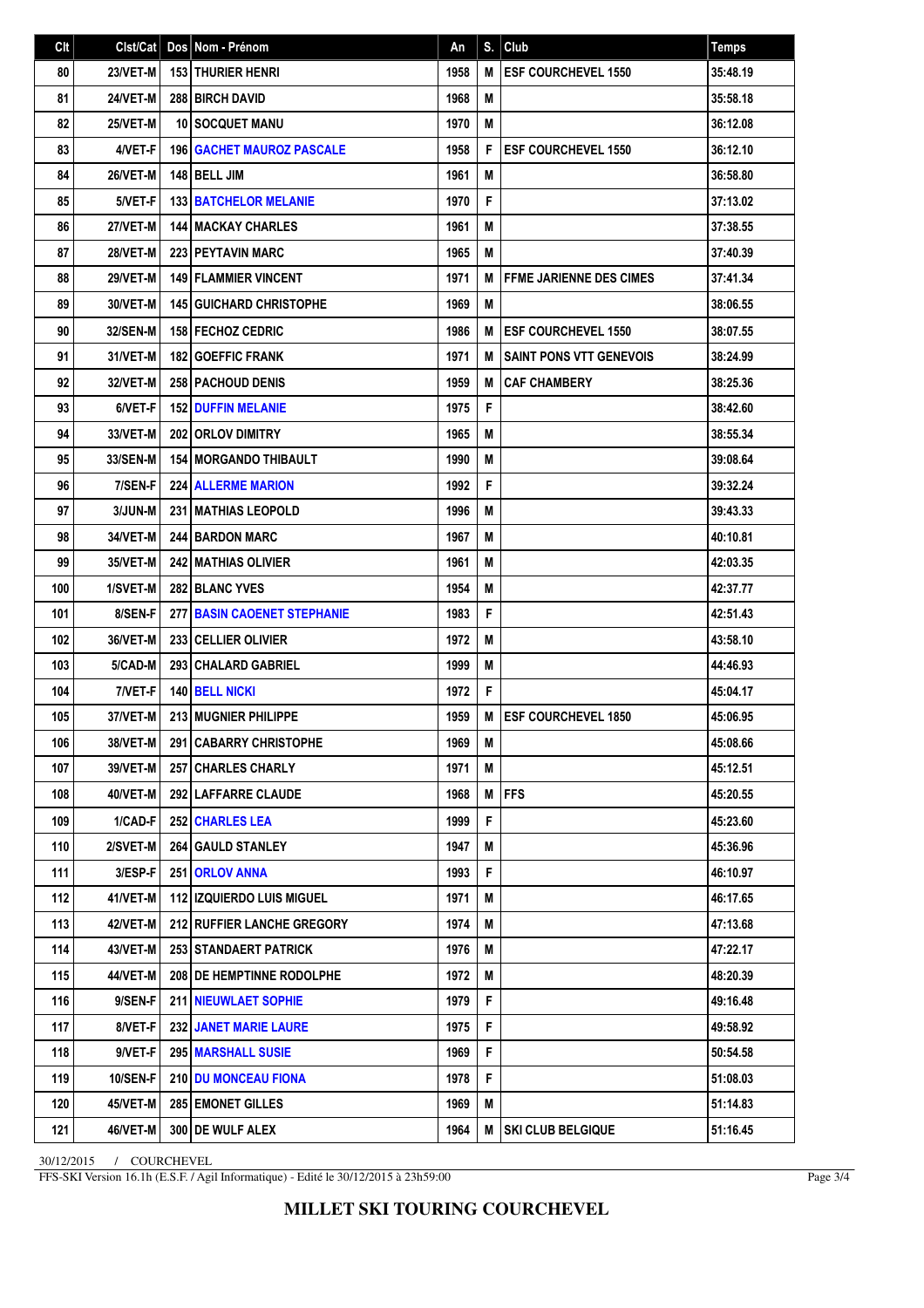| Clt | Clst/Cat        | Dos Nom - Prénom                   | An   | S. | Club                             | Temps    |
|-----|-----------------|------------------------------------|------|----|----------------------------------|----------|
| 80  | 23/VET-M        | <b>153 THURIER HENRI</b>           | 1958 | M  | <b>ESF COURCHEVEL 1550</b>       | 35:48.19 |
| 81  | 24/VET-M        | <b>288 BIRCH DAVID</b>             | 1968 | M  |                                  | 35:58.18 |
| 82  | 25/VET-M        | 10 SOCQUET MANU                    | 1970 | M  |                                  | 36:12.08 |
| 83  | 4/VET-F         | <b>196   GACHET MAUROZ PASCALE</b> | 1958 | F  | <b>ESF COURCHEVEL 1550</b>       | 36:12.10 |
| 84  | 26/VET-M        | 148 BELL JIM                       | 1961 | M  |                                  | 36:58.80 |
| 85  | 5/VET-F         | <b>133 BATCHELOR MELANIE</b>       | 1970 | F  |                                  | 37:13.02 |
| 86  | <b>27/VET-M</b> | <b>144   MACKAY CHARLES</b>        | 1961 | M  |                                  | 37:38.55 |
| 87  | 28/VET-M        | <b>223 PEYTAVIN MARC</b>           | 1965 | M  |                                  | 37:40.39 |
| 88  | <b>29/VET-M</b> | <b>149 FLAMMIER VINCENT</b>        | 1971 | M  | <b>I FFME JARIENNE DES CIMES</b> | 37:41.34 |
| 89  | 30/VET-M        | <b>145 GUICHARD CHRISTOPHE</b>     | 1969 | M  |                                  | 38:06.55 |
| 90  | 32/SEN-M        | <b>158 FECHOZ CEDRIC</b>           | 1986 | M  | <b>IESF COURCHEVEL 1550</b>      | 38:07.55 |
| 91  | 31/VET-M        | <b>182 GOEFFIC FRANK</b>           | 1971 | M  | <b>SAINT PONS VTT GENEVOIS</b>   | 38:24.99 |
| 92  | 32/VET-M        | <b>258   PACHOUD DENIS</b>         | 1959 | M  | <b>CAF CHAMBERY</b>              | 38:25.36 |
| 93  | 6/VET-F         | <b>152 DUFFIN MELANIE</b>          | 1975 | F  |                                  | 38:42.60 |
| 94  | 33/VET-M        | <b>202 ORLOV DIMITRY</b>           | 1965 | M  |                                  | 38:55.34 |
| 95  | 33/SEN-M        | <b>154 MORGANDO THIBAULT</b>       | 1990 | M  |                                  | 39:08.64 |
| 96  | 7/SEN-F         | <b>224 ALLERME MARION</b>          | 1992 | F  |                                  | 39:32.24 |
| 97  | 3/JUN-M         | <b>231 MATHIAS LEOPOLD</b>         | 1996 | M  |                                  | 39:43.33 |
| 98  | 34/VET-M        | 244 BARDON MARC                    | 1967 | M  |                                  | 40:10.81 |
| 99  | 35/VET-M        | <b>242 MATHIAS OLIVIER</b>         | 1961 | M  |                                  | 42:03.35 |
| 100 | 1/SVET-M        | <b>282 BLANC YVES</b>              | 1954 | M  |                                  | 42:37.77 |
| 101 | 8/SEN-F         | <b>277 BASIN CAOENET STEPHANIE</b> | 1983 | F  |                                  | 42:51.43 |
| 102 | 36/VET-M        | 233 CELLIER OLIVIER                | 1972 | M  |                                  | 43:58.10 |
| 103 | 5/CAD-M         | 293 CHALARD GABRIEL                | 1999 | M  |                                  | 44:46.93 |
| 104 | 7/VET-F         | 140 BELL NICKI                     | 1972 | F  |                                  | 45:04.17 |
| 105 | 37/VET-M        | 213 MUGNIER PHILIPPE               | 1959 | M  | <b>IESF COURCHEVEL 1850</b>      | 45:06.95 |
| 106 | 38/VET-M        | 291 CABARRY CHRISTOPHE             | 1969 | M  |                                  | 45:08.66 |
| 107 | 39/VET-M        | <b>257 CHARLES CHARLY</b>          | 1971 | M  |                                  | 45:12.51 |
| 108 | 40/VET-M        | 292 LAFFARRE CLAUDE                | 1968 | M  | <b>IFFS</b>                      | 45:20.55 |
| 109 | 1/CAD-F         | 252 CHARLES LEA                    | 1999 | F  |                                  | 45:23.60 |
| 110 | 2/SVET-M        | 264 GAULD STANLEY                  | 1947 | M  |                                  | 45:36.96 |
| 111 | 3/ESP-F         | 251 ORLOV ANNA                     | 1993 | F  |                                  | 46:10.97 |
| 112 | 41/VET-M        | <b>112   IZQUIERDO LUIS MIGUEL</b> | 1971 | M  |                                  | 46:17.65 |
| 113 | 42/VET-M        | 212 RUFFIER LANCHE GREGORY         | 1974 | M  |                                  | 47:13.68 |
| 114 | 43/VET-M        | 253 STANDAERT PATRICK              | 1976 | M  |                                  | 47:22.17 |
| 115 | 44/VET-M        | 208 DE HEMPTINNE RODOLPHE          | 1972 | M  |                                  | 48:20.39 |
| 116 | 9/SEN-F         | <b>211   NIEUWLAET SOPHIE</b>      | 1979 | F  |                                  | 49:16.48 |
| 117 | 8/VET-F         | <b>232 JANET MARIE LAURE</b>       | 1975 | F  |                                  | 49:58.92 |
| 118 | 9/VET-F         | 295 MARSHALL SUSIE                 | 1969 | F  |                                  | 50:54.58 |
| 119 | <b>10/SEN-F</b> | <b>210 IDU MONCEAU FIONA</b>       | 1978 | F  |                                  | 51:08.03 |
| 120 | 45/VET-M        | <b>285 EMONET GILLES</b>           | 1969 | Μ  |                                  | 51:14.83 |
| 121 | 46/VET-M        | 300 DE WULF ALEX                   | 1964 | M  | <b>SKI CLUB BELGIQUE</b>         | 51:16.45 |

30/12/2015 / COURCHEVEL

FFS-SKI Version 16.1h (E.S.F. / Agil Informatique) - Edité le 30/12/2015 à 23h59:00

Page 3/4